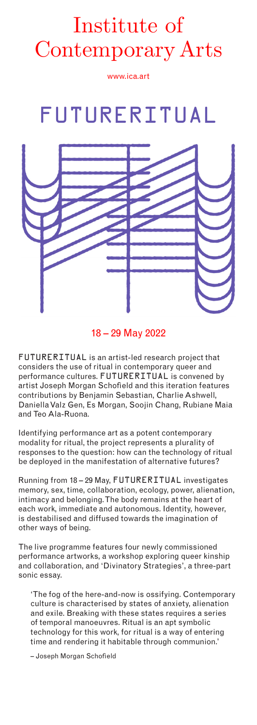## www.ica.art Institute of Contemporary Arts

www.ica.art

# FUTURERITUAL



## 18 – 29 May 2022

FUTURERITUAL is an artist-led research project that considers the use of ritual in contemporary queer and performance cultures. FUTURERITUAL is convened by artist Joseph Morgan Schofield and this iteration features contributions by Benjamin Sebastian, Charlie Ashwell, Daniella Valz Gen, Es Morgan, Soojin Chang, Rubiane Maia and Teo Ala-Ruona.

Identifying performance art as a potent contemporary modality for ritual, the project represents a plurality of responses to the question: how can the technology of ritual be deployed in the manifestation of alternative futures?

Running from 18 – 29 May, FUTURERITUAL investigates memory, sex, time, collaboration, ecology, power, alienation, intimacy and belonging. The body remains at the heart of each work, immediate and autonomous. Identity, however, is destabilised and diffused towards the imagination of other ways of being.

The live programme features four newly commissioned performance artworks, a workshop exploring queer kinship and collaboration, and 'Divinatory Strategies', a three-part sonic essay.

'The fog of the here-and-now is ossifying. Contemporary culture is characterised by states of anxiety, alienation and exile. Breaking with these states requires a series of temporal manoeuvres. Ritual is an apt symbolic technology for this work, for ritual is a way of entering time and rendering it habitable through communion.'

– Joseph Morgan Schofield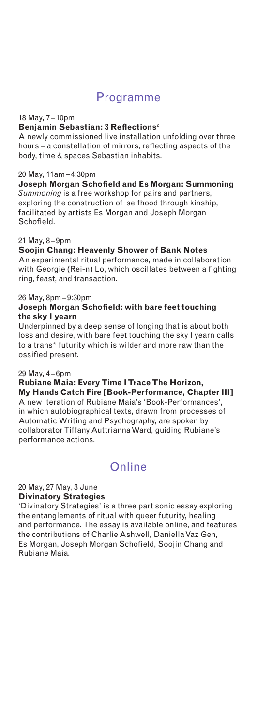### Programme

#### 18 May, 7– 10pm

#### **Benjamin Sebastian: 3 Reflections²**

A newly commissioned live installation unfolding over three hours – a constellation of mirrors, reflecting aspects of the body, time & spaces Sebastian inhabits.

#### 20 May, 11am–4:30pm

**Joseph Morgan Schofield and Es Morgan: Summoning** *Summoning* is a free workshop for pairs and partners, exploring the construction of selfhood through kinship, facilitated by artists Es Morgan and Joseph Morgan Schofield.

#### 21 May, 8– 9pm

#### **Soojin Chang: Heavenly Shower of Bank Notes**

An experimental ritual performance, made in collaboration with Georgie (Rei-n) Lo, which oscillates between a fighting ring, feast, and transaction.

#### 26 May, 8pm– 9:30pm

#### **Joseph Morgan Schofield: with bare feet touching the sky I yearn**

Underpinned by a deep sense of longing that is about both loss and desire, with bare feet touching the sky I yearn calls to a trans\* futurity which is wilder and more raw than the ossified present.

#### 29 May, 4– 6pm

**Rubiane Maia: Every Time I Trace The Horizon, My Hands Catch Fire [Book-Performance, Chapter III]** A new iteration of Rubiane Maia's 'Book-Performances', in which autobiographical texts, drawn from processes of Automatic Writing and Psychography, are spoken by collaborator Tiffany Auttrianna Ward, guiding Rubiane's performance actions.

## **Online**

#### 20 May, 27 May, 3 June **Divinatory Strategies**

'Divinatory Strategies' is a three part sonic essay exploring the entanglements of ritual with queer futurity, healing and performance. The essay is available online, and features the contributions of Charlie Ashwell, Daniella Vaz Gen, Es Morgan, Joseph Morgan Schofield, Soojin Chang and Rubiane Maia.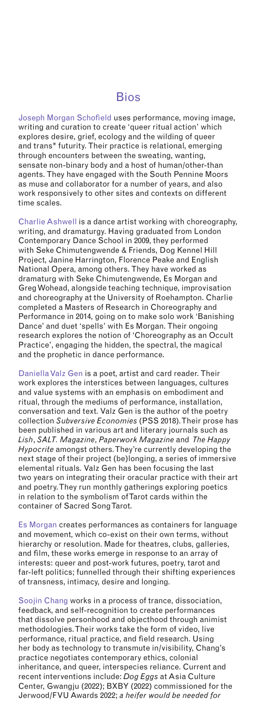### Bios

Joseph Morgan Schofield uses performance, moving image, writing and curation to create 'queer ritual action' which explores desire, grief, ecology and the wilding of queer and trans\* futurity. Their practice is relational, emerging through encounters between the sweating, wanting, sensate non-binary body and a host of human/other-than agents. They have engaged with the South Pennine Moors as muse and collaborator for a number of years, and also work responsively to other sites and contexts on different time scales.

Charlie Ashwell is a dance artist working with choreography, writing, and dramaturgy. Having graduated from London Contemporary Dance School in 2009, they performed with Seke Chimutengwende & Friends, Dog Kennel Hill Project, Janine Harrington, Florence Peake and English National Opera, among others. They have worked as dramaturg with Seke Chimutengwende, Es Morgan and Greg Wohead, alongside teaching technique, improvisation and choreography at the University of Roehampton. Charlie completed a Masters of Research in Choreography and Performance in 2014, going on to make solo work 'Banishing Dance' and duet 'spells' with Es Morgan. Their ongoing research explores the notion of 'Choreography as an Occult Practice', engaging the hidden, the spectral, the magical and the prophetic in dance performance.

Daniella Valz Gen is a poet, artist and card reader. Their work explores the interstices between languages, cultures and value systems with an emphasis on embodiment and ritual, through the mediums of performance, installation, conversation and text. Valz Gen is the author of the poetry collection *Subversive Economies* (PSS 2018). Their prose has been published in various art and literary journals such as *Lish*, *SALT. Magazine*, *Paperwork Magazine* and *The Happy Hypocrite* amongst others. They're currently developing the next stage of their project (be)longing, a series of immersive elemental rituals. Valz Gen has been focusing the last two years on integrating their oracular practice with their art and poetry. They run monthly gatherings exploring poetics in relation to the symbolism of Tarot cards within the container of Sacred Song Tarot.

Es Morgan creates performances as containers for language and movement, which co-exist on their own terms, without hierarchy or resolution. Made for theatres, clubs, galleries, and film, these works emerge in response to an array of interests: queer and post-work futures, poetry, tarot and far-left politics; funnelled through their shifting experiences of transness, intimacy, desire and longing.

Soojin Chang works in a process of trance, dissociation, feedback, and self-recognition to create performances that dissolve personhood and objecthood through animist methodologies. Their works take the form of video, live performance, ritual practice, and field research. Using her body as technology to transmute in/visibility, Chang's practice negotiates contemporary ethics, colonial inheritance, and queer, interspecies reliance. Current and recent interventions include: *Dog Eggs* at Asia Culture Center, Gwangju (2022); BXBY (2022) commissioned for the Jerwood/FVU Awards 2022; *a heifer would be needed for*